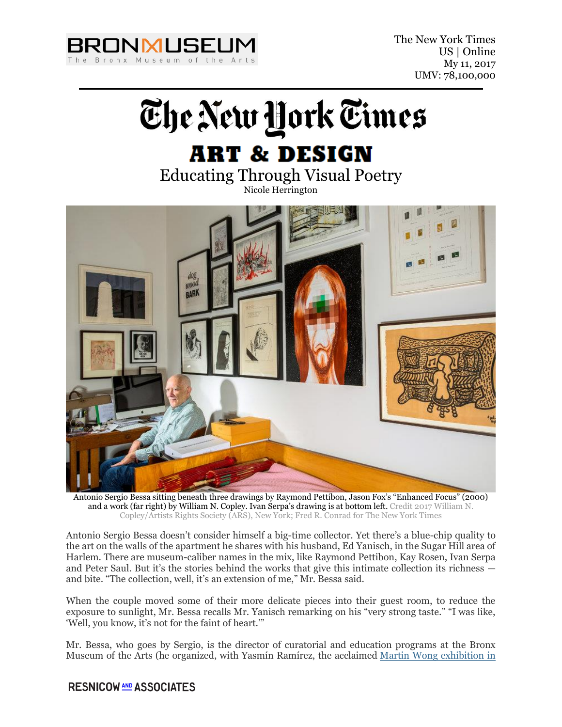

The New York Times US | Online My 11, 2017 UMV: 78,100,000



# Educating Through Visual Poetry

Nicole Herrington



Antonio Sergio Bessa sitting beneath three drawings by Raymond Pettibon, Jason Fox's "Enhanced Focus" (2000) and a work (far right) by William N. Copley. Ivan Serpa's drawing is at bottom left. Credit 2017 William N. Copley/Artists Rights Society (ARS), New York; Fred R. Conrad for The New York Times

Antonio Sergio Bessa doesn't consider himself a big-time collector. Yet there's a blue-chip quality to the art on the walls of the apartment he shares with his husband, Ed Yanisch, in the Sugar Hill area of Harlem. There are museum-caliber names in the mix, like Raymond Pettibon, Kay Rosen, Ivan Serpa and Peter Saul. But it's the stories behind the works that give this intimate collection its richness and bite. "The collection, well, it's an extension of me," Mr. Bessa said.

When the couple moved some of their more delicate pieces into their guest room, to reduce the exposure to sunlight, Mr. Bessa recalls Mr. Yanisch remarking on his "very strong taste." "I was like, 'Well, you know, it's not for the faint of heart.'"

Mr. Bessa, who goes by Sergio, is the director of curatorial and education programs at the Bronx Museum of the Arts (he organized, with Yasmín Ramírez, the acclaimed [Martin Wong exhibition in](https://www.nytimes.com/2015/11/20/arts/design/martin-wong-an-urban-visionary-with-a-hungry-eye.html?_r=0)